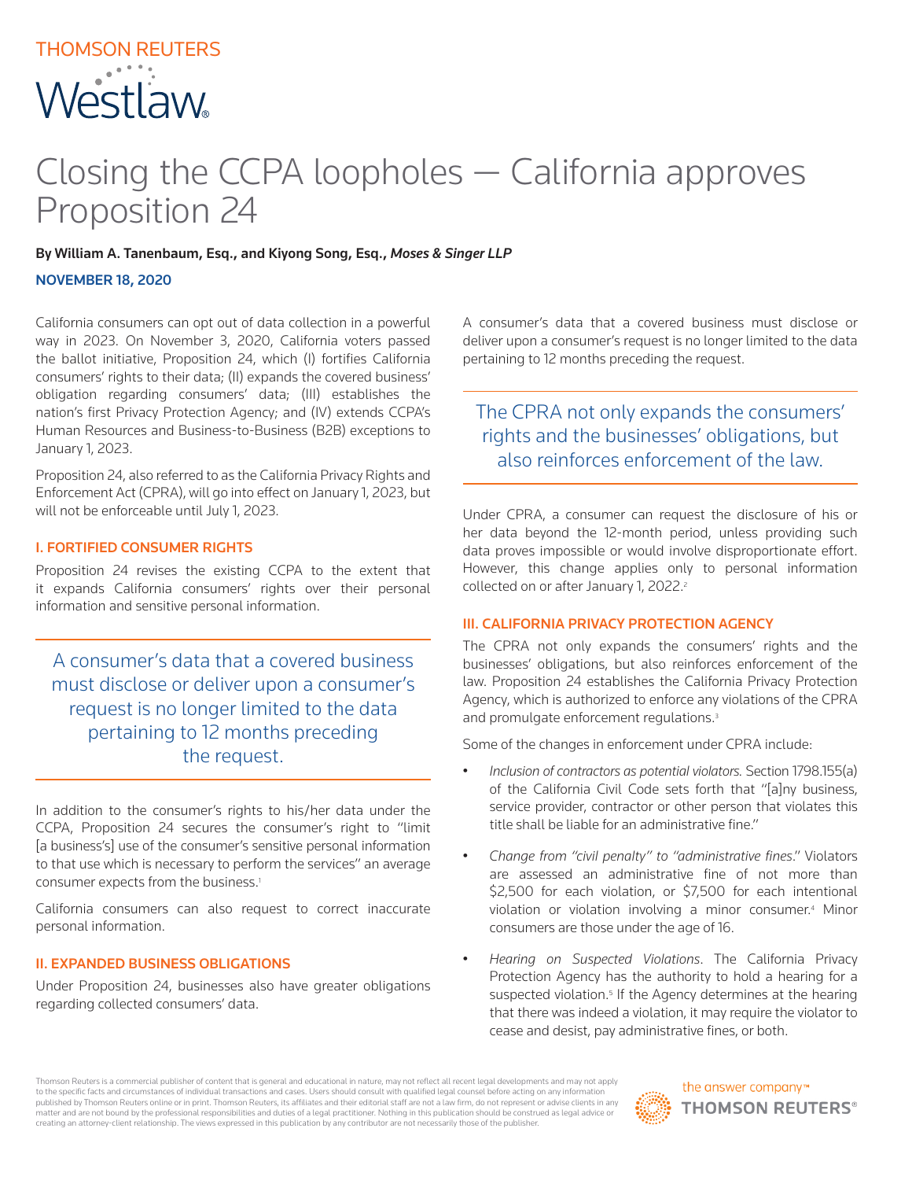# THOMSON REUTERS **Westlaw**

# Closing the CCPA loopholes — California approves Proposition 24

By William A. Tanenbaum, Esq., and Kiyong Song, Esq., *Moses & Singer LLP*

## NOVEMBER 18, 2020

California consumers can opt out of data collection in a powerful way in 2023. On November 3, 2020, California voters passed the ballot initiative, Proposition 24, which (I) fortifies California consumers' rights to their data; (II) expands the covered business' obligation regarding consumers' data; (III) establishes the nation's first Privacy Protection Agency; and (IV) extends CCPA's Human Resources and Business-to-Business (B2B) exceptions to January 1, 2023.

Proposition 24, also referred to as the California Privacy Rights and Enforcement Act (CPRA), will go into effect on January 1, 2023, but will not be enforceable until July 1, 2023.

# I. FORTIFIED CONSUMER RIGHTS

Proposition 24 revises the existing CCPA to the extent that it expands California consumers' rights over their personal information and sensitive personal information.

A consumer's data that a covered business must disclose or deliver upon a consumer's request is no longer limited to the data pertaining to 12 months preceding the request.

In addition to the consumer's rights to his/her data under the CCPA, Proposition 24 secures the consumer's right to "limit [a business's] use of the consumer's sensitive personal information to that use which is necessary to perform the services" an average consumer expects from the business.<sup>1</sup>

California consumers can also request to correct inaccurate personal information.

#### II. EXPANDED BUSINESS OBLIGATIONS

Under Proposition 24, businesses also have greater obligations regarding collected consumers' data.

A consumer's data that a covered business must disclose or deliver upon a consumer's request is no longer limited to the data pertaining to 12 months preceding the request.

The CPRA not only expands the consumers' rights and the businesses' obligations, but also reinforces enforcement of the law.

Under CPRA, a consumer can request the disclosure of his or her data beyond the 12-month period, unless providing such data proves impossible or would involve disproportionate effort. However, this change applies only to personal information collected on or after January 1, 2022.<sup>2</sup>

### III. CALIFORNIA PRIVACY PROTECTION AGENCY

The CPRA not only expands the consumers' rights and the businesses' obligations, but also reinforces enforcement of the law. Proposition 24 establishes the California Privacy Protection Agency, which is authorized to enforce any violations of the CPRA and promulgate enforcement regulations.<sup>3</sup>

Some of the changes in enforcement under CPRA include:

- *Inclusion of contractors as potential violators.* Section 1798.155(a) of the California Civil Code sets forth that "[a]ny business, service provider, contractor or other person that violates this title shall be liable for an administrative fine."
- *Change from "civil penalty" to "administrative fines*." Violators are assessed an administrative fine of not more than \$2,500 for each violation, or \$7,500 for each intentional violation or violation involving a minor consumer.4 Minor consumers are those under the age of 16.
- *Hearing on Suspected Violations*. The California Privacy Protection Agency has the authority to hold a hearing for a suspected violation.<sup>5</sup> If the Agency determines at the hearing that there was indeed a violation, it may require the violator to cease and desist, pay administrative fines, or both.

Thomson Reuters is a commercial publisher of content that is general and educational in nature, may not reflect all recent legal developments and may not apply to the specific facts and circumstances of individual transactions and cases. Users should consult with qualified legal counsel before acting on any information<br>published by Thomson Reuters online or in print. Thomson Reut matter and are not bound by the professional responsibilities and duties of a legal practitioner. Nothing in this publication should be construed as legal advice or creating an attorney-client relationship. The views expressed in this publication by any contributor are not necessarily those of the publisher.